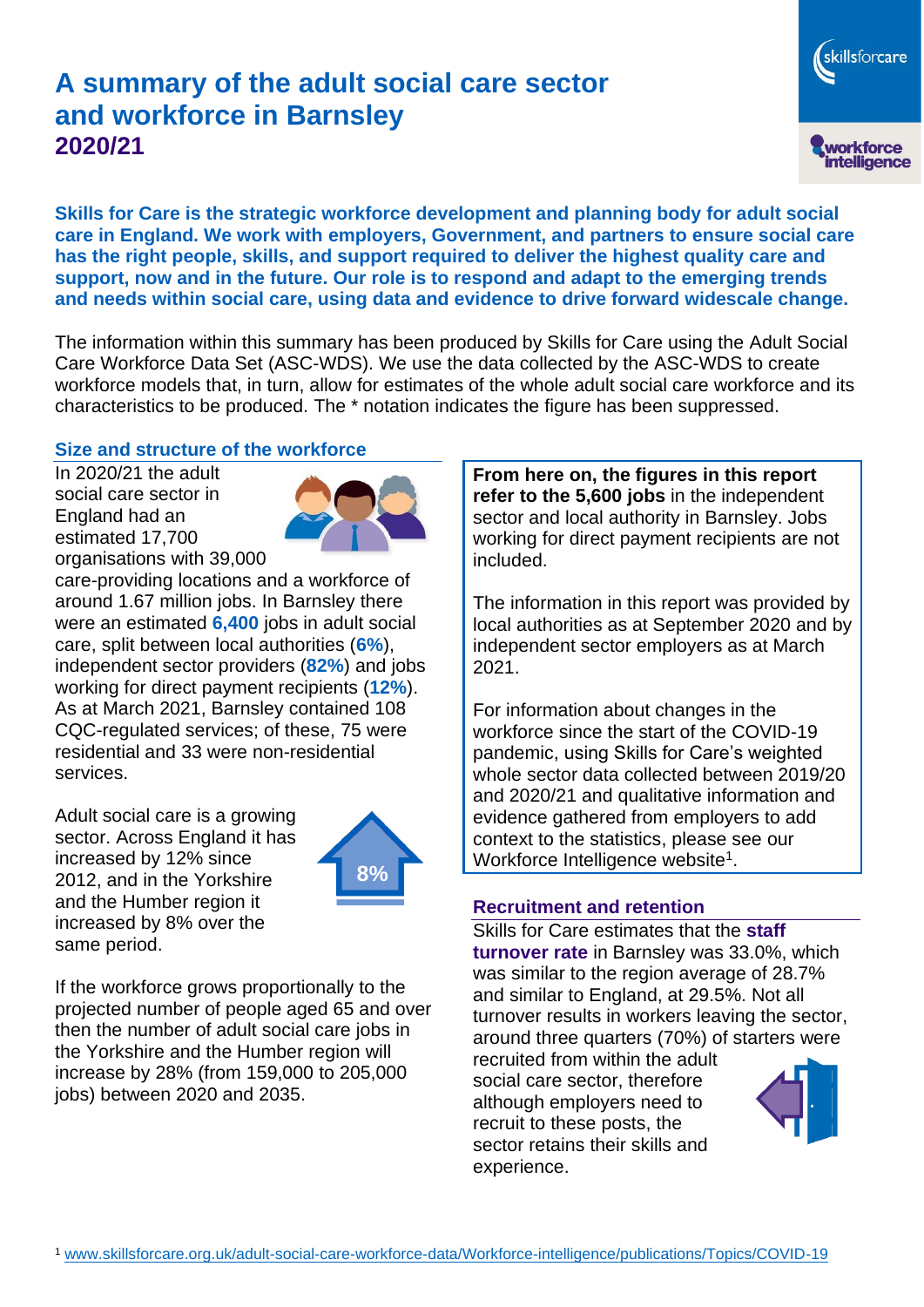# **A summary of the adult social care sector and workforce in Barnsley 2020/21**

workforce<br>intelligence

skillsforcare

**Skills for Care is the strategic workforce development and planning body for adult social care in England. We work with employers, Government, and partners to ensure social care has the right people, skills, and support required to deliver the highest quality care and support, now and in the future. Our role is to respond and adapt to the emerging trends and needs within social care, using data and evidence to drive forward widescale change.**

The information within this summary has been produced by Skills for Care using the Adult Social Care Workforce Data Set (ASC-WDS). We use the data collected by the ASC-WDS to create workforce models that, in turn, allow for estimates of the whole adult social care workforce and its characteristics to be produced. The \* notation indicates the figure has been suppressed.

#### **Size and structure of the workforce**

In 2020/21 the adult social care sector in England had an estimated 17,700 organisations with 39,000



care-providing locations and a workforce of around 1.67 million jobs. In Barnsley there were an estimated **6,400** jobs in adult social care, split between local authorities (**6%**), independent sector providers (**82%**) and jobs working for direct payment recipients (**12%**). As at March 2021, Barnsley contained 108 CQC-regulated services; of these, 75 were residential and 33 were non-residential services.

Adult social care is a growing sector. Across England it has increased by 12% since 2012, and in the Yorkshire and the Humber region it increased by 8% over the same period.



If the workforce grows proportionally to the projected number of people aged 65 and over then the number of adult social care jobs in the Yorkshire and the Humber region will increase by 28% (from 159,000 to 205,000 jobs) between 2020 and 2035.

**From here on, the figures in this report refer to the 5,600 jobs** in the independent sector and local authority in Barnsley. Jobs working for direct payment recipients are not included.

The information in this report was provided by local authorities as at September 2020 and by independent sector employers as at March 2021.

For information about changes in the workforce since the start of the COVID-19 pandemic, using Skills for Care's weighted whole sector data collected between 2019/20 and 2020/21 and qualitative information and evidence gathered from employers to add context to the statistics, please see our Workforce Intelligence website<sup>1</sup>.

#### **Recruitment and retention**

Skills for Care estimates that the **staff turnover rate** in Barnsley was 33.0%, which was similar to the region average of 28.7% and similar to England, at 29.5%. Not all turnover results in workers leaving the sector, around three quarters (70%) of starters were

recruited from within the adult social care sector, therefore although employers need to recruit to these posts, the sector retains their skills and experience.

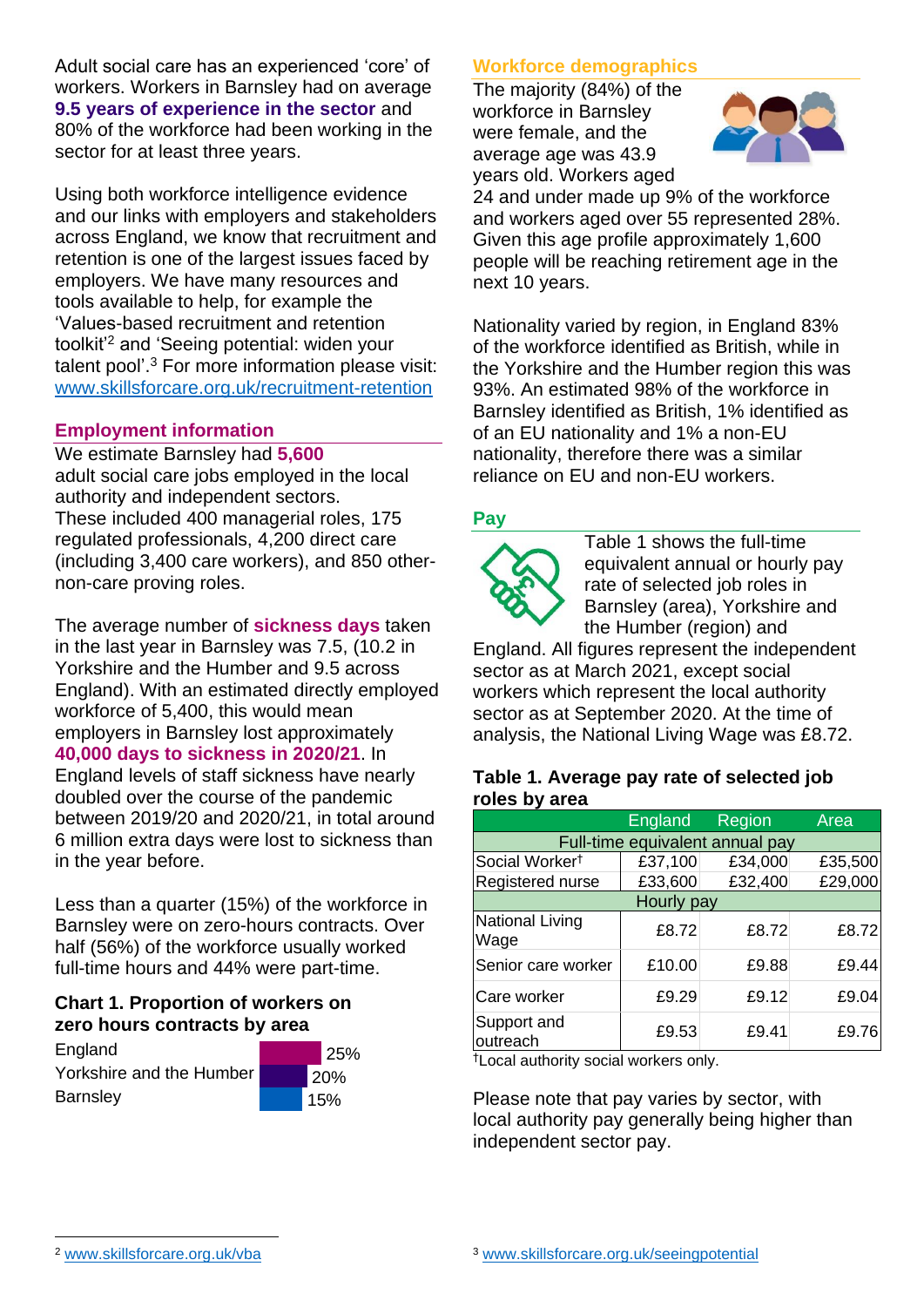Adult social care has an experienced 'core' of workers. Workers in Barnsley had on average **9.5 years of experience in the sector** and 80% of the workforce had been working in the sector for at least three years.

Using both workforce intelligence evidence and our links with employers and stakeholders across England, we know that recruitment and retention is one of the largest issues faced by employers. We have many resources and tools available to help, for example the 'Values-based recruitment and retention toolkit'<sup>2</sup> and 'Seeing potential: widen your talent pool'. <sup>3</sup> For more information please visit: [www.skillsforcare.org.uk/recruitment-retention](http://www.skillsforcare.org.uk/recruitment-retention)

#### **Employment information**

We estimate Barnsley had **5,600** adult social care jobs employed in the local authority and independent sectors. These included 400 managerial roles, 175 regulated professionals, 4,200 direct care (including 3,400 care workers), and 850 othernon-care proving roles.

The average number of **sickness days** taken in the last year in Barnsley was 7.5, (10.2 in Yorkshire and the Humber and 9.5 across England). With an estimated directly employed workforce of 5,400, this would mean employers in Barnsley lost approximately **40,000 days to sickness in 2020/21**. In England levels of staff sickness have nearly doubled over the course of the pandemic between 2019/20 and 2020/21, in total around 6 million extra days were lost to sickness than in the year before.

Less than a quarter (15%) of the workforce in Barnsley were on zero-hours contracts. Over half (56%) of the workforce usually worked full-time hours and 44% were part-time.

# **Chart 1. Proportion of workers on zero hours contracts by area**

**England** Yorkshire and the Humber **Barnsley** 



# **Workforce demographics**

The majority (84%) of the workforce in Barnsley were female, and the average age was 43.9 years old. Workers aged



24 and under made up 9% of the workforce and workers aged over 55 represented 28%. Given this age profile approximately 1,600 people will be reaching retirement age in the next 10 years.

Nationality varied by region, in England 83% of the workforce identified as British, while in the Yorkshire and the Humber region this was 93%. An estimated 98% of the workforce in Barnsley identified as British, 1% identified as of an EU nationality and 1% a non-EU nationality, therefore there was a similar reliance on EU and non-EU workers.

# **Pay**



Table 1 shows the full-time equivalent annual or hourly pay rate of selected job roles in Barnsley (area), Yorkshire and the Humber (region) and

England. All figures represent the independent sector as at March 2021, except social workers which represent the local authority sector as at September 2020. At the time of analysis, the National Living Wage was £8.72.

#### **Table 1. Average pay rate of selected job roles by area**

|                                 | <b>England</b> | Region  | Area    |
|---------------------------------|----------------|---------|---------|
| Full-time equivalent annual pay |                |         |         |
| Social Worker <sup>t</sup>      | £37,100        | £34,000 | £35,500 |
| Registered nurse                | £33,600        | £32,400 | £29,000 |
| Hourly pay                      |                |         |         |
| National Living<br>Wage         | £8.72          | £8.72   | £8.72   |
| Senior care worker              | £10.00         | £9.88   | £9.44   |
| Care worker                     | £9.29          | £9.12   | £9.04   |
| Support and<br>outreach         | £9.53          | £9.41   | £9.76   |

†Local authority social workers only.

Please note that pay varies by sector, with local authority pay generally being higher than independent sector pay.